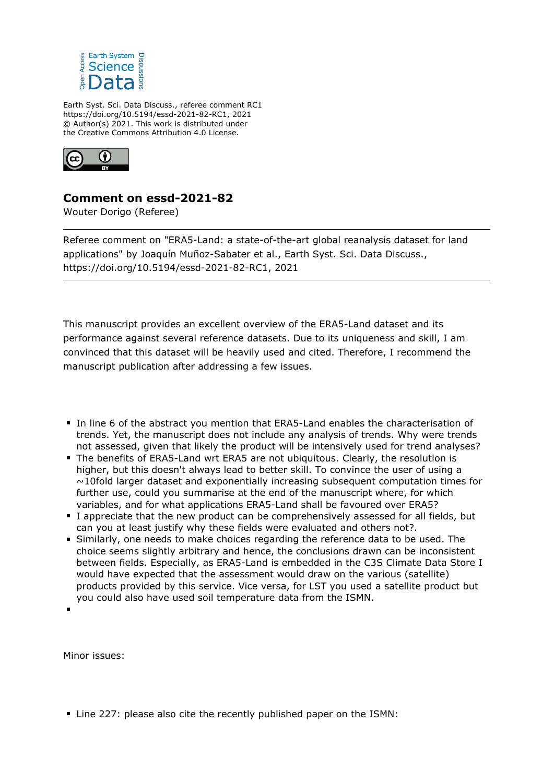

Earth Syst. Sci. Data Discuss., referee comment RC1 https://doi.org/10.5194/essd-2021-82-RC1, 2021 © Author(s) 2021. This work is distributed under the Creative Commons Attribution 4.0 License.



## **Comment on essd-2021-82**

Wouter Dorigo (Referee)

Referee comment on "ERA5-Land: a state-of-the-art global reanalysis dataset for land applications" by Joaquín Muñoz-Sabater et al., Earth Syst. Sci. Data Discuss., https://doi.org/10.5194/essd-2021-82-RC1, 2021

This manuscript provides an excellent overview of the ERA5-Land dataset and its performance against several reference datasets. Due to its uniqueness and skill, I am convinced that this dataset will be heavily used and cited. Therefore, I recommend the manuscript publication after addressing a few issues.

- In line 6 of the abstract you mention that ERA5-Land enables the characterisation of trends. Yet, the manuscript does not include any analysis of trends. Why were trends not assessed, given that likely the product will be intensively used for trend analyses?
- The benefits of ERA5-Land wrt ERA5 are not ubiquitous. Clearly, the resolution is higher, but this doesn't always lead to better skill. To convince the user of using a  $\sim$ 10fold larger dataset and exponentially increasing subsequent computation times for further use, could you summarise at the end of the manuscript where, for which variables, and for what applications ERA5-Land shall be favoured over ERA5?
- I appreciate that the new product can be comprehensively assessed for all fields, but can you at least justify why these fields were evaluated and others not?.
- Similarly, one needs to make choices regarding the reference data to be used. The choice seems slightly arbitrary and hence, the conclusions drawn can be inconsistent between fields. Especially, as ERA5-Land is embedded in the C3S Climate Data Store I would have expected that the assessment would draw on the various (satellite) products provided by this service. Vice versa, for LST you used a satellite product but you could also have used soil temperature data from the ISMN.

Minor issues:

Line 227: please also cite the recently published paper on the ISMN: